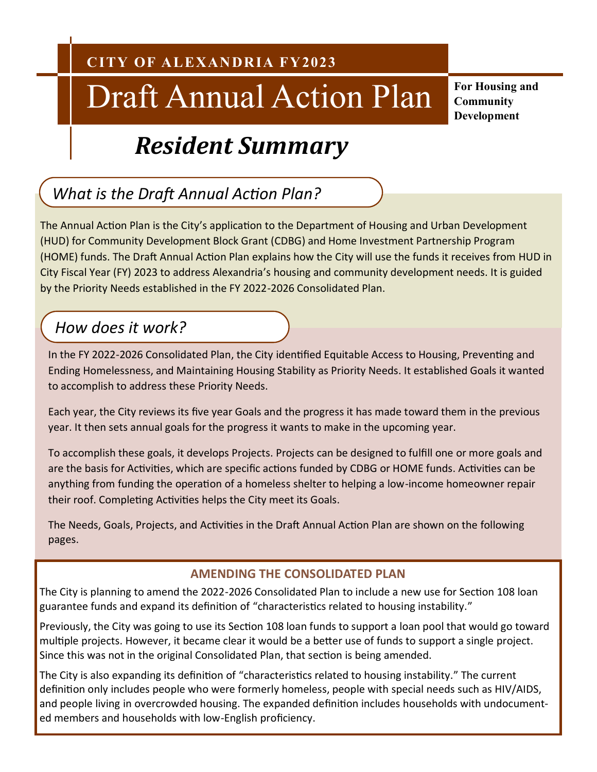## Draft Annual Action Plan

**For Housing and Community Development**

## *Resident Summary*

## *What is the Draft Annual Action Plan?*

The Annual Action Plan is the City's application to the Department of Housing and Urban Development (HUD) for Community Development Block Grant (CDBG) and Home Investment Partnership Program (HOME) funds. The Draft Annual Action Plan explains how the City will use the funds it receives from HUD in City Fiscal Year (FY) 2023 to address Alexandria's housing and community development needs. It is guided by the Priority Needs established in the FY 2022-2026 Consolidated Plan.

## *How does it work?*

In the FY 2022-2026 Consolidated Plan, the City identified Equitable Access to Housing, Preventing and Ending Homelessness, and Maintaining Housing Stability as Priority Needs. It established Goals it wanted to accomplish to address these Priority Needs.

Each year, the City reviews its five year Goals and the progress it has made toward them in the previous year. It then sets annual goals for the progress it wants to make in the upcoming year.

To accomplish these goals, it develops Projects. Projects can be designed to fulfill one or more goals and are the basis for Activities, which are specific actions funded by CDBG or HOME funds. Activities can be anything from funding the operation of a homeless shelter to helping a low-income homeowner repair their roof. Completing Activities helps the City meet its Goals.

The Needs, Goals, Projects, and Activities in the Draft Annual Action Plan are shown on the following pages.

#### **AMENDING THE CONSOLIDATED PLAN**

The City is planning to amend the 2022-2026 Consolidated Plan to include a new use for Section 108 loan guarantee funds and expand its definition of "characteristics related to housing instability."

Previously, the City was going to use its Section 108 loan funds to support a loan pool that would go toward multiple projects. However, it became clear it would be a better use of funds to support a single project. Since this was not in the original Consolidated Plan, that section is being amended.

The City is also expanding its definition of "characteristics related to housing instability." The current definition only includes people who were formerly homeless, people with special needs such as HIV/AIDS, and people living in overcrowded housing. The expanded definition includes households with undocumented members and households with low-English proficiency.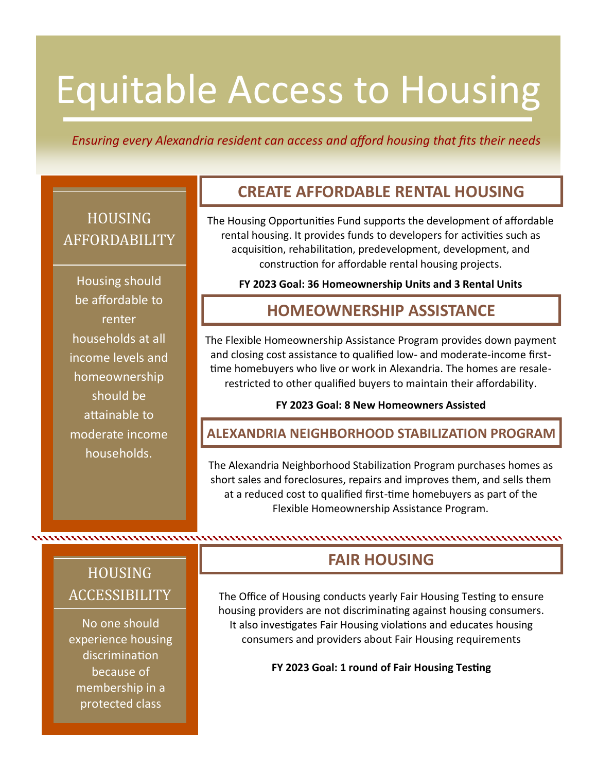## Equitable Access to Housing

#### *Ensuring every Alexandria resident can access and afford housing that fits their needs*

## **HOUSING** AFFORDABILITY

Housing should be affordable to renter households at all income levels and homeownership should be attainable to moderate income households.

### **CREATE AFFORDABLE RENTAL HOUSING**

The Housing Opportunities Fund supports the development of affordable rental housing. It provides funds to developers for activities such as acquisition, rehabilitation, predevelopment, development, and construction for affordable rental housing projects.

**FY 2023 Goal: 36 Homeownership Units and 3 Rental Units**

### **HOMEOWNERSHIP ASSISTANCE**

The Flexible Homeownership Assistance Program provides down payment and closing cost assistance to qualified low- and moderate-income firsttime homebuyers who live or work in Alexandria. The homes are resalerestricted to other qualified buyers to maintain their affordability.

#### **FY 2023 Goal: 8 New Homeowners Assisted**

#### **ALEXANDRIA NEIGHBORHOOD STABILIZATION PROGRAM**

The Alexandria Neighborhood Stabilization Program purchases homes as short sales and foreclosures, repairs and improves them, and sells them at a reduced cost to qualified first-time homebuyers as part of the Flexible Homeownership Assistance Program.

## HOUSING ACCESSIBILITY

No one should experience housing discrimination because of membership in a protected class

## **FAIR HOUSING**

The Office of Housing conducts yearly Fair Housing Testing to ensure housing providers are not discriminating against housing consumers. It also investigates Fair Housing violations and educates housing consumers and providers about Fair Housing requirements

**FY 2023 Goal: 1 round of Fair Housing Testing**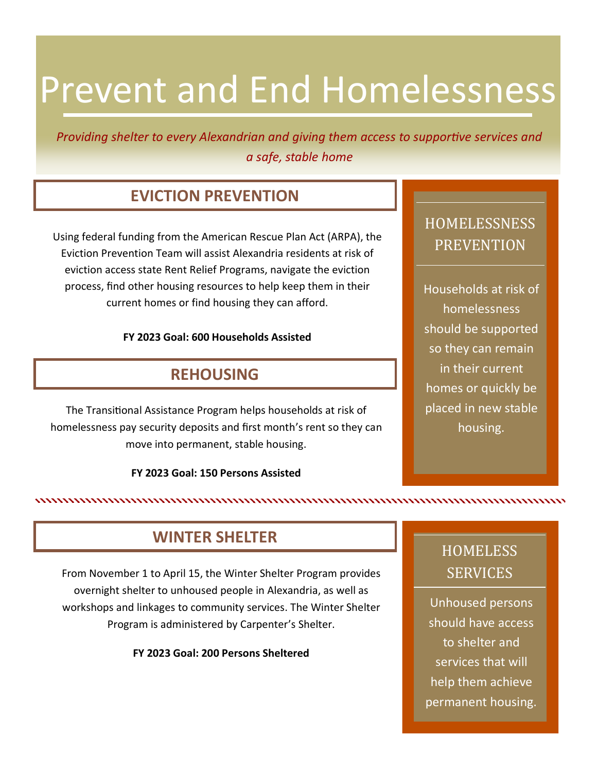## Prevent and End Homelessness

*Providing shelter to every Alexandrian and giving them access to supportive services and a safe, stable home*

## **EVICTION PREVENTION**

Using federal funding from the American Rescue Plan Act (ARPA), the Eviction Prevention Team will assist Alexandria residents at risk of eviction access state Rent Relief Programs, navigate the eviction process, find other housing resources to help keep them in their current homes or find housing they can afford.

#### **FY 2023 Goal: 600 Households Assisted**

### **REHOUSING**

The Transitional Assistance Program helps households at risk of homelessness pay security deposits and first month's rent so they can move into permanent, stable housing.

#### **FY 2023 Goal: 150 Persons Assisted**

## HOMELESSNESS PREVENTION

Households at risk of homelessness should be supported so they can remain in their current homes or quickly be placed in new stable housing.

### **WINTER SHELTER**

From November 1 to April 15, the Winter Shelter Program provides overnight shelter to unhoused people in Alexandria, as well as workshops and linkages to community services. The Winter Shelter Program is administered by Carpenter's Shelter.

**FY 2023 Goal: 200 Persons Sheltered**

## **HOMELESS SERVICES**

Unhoused persons should have access to shelter and services that will help them achieve permanent housing.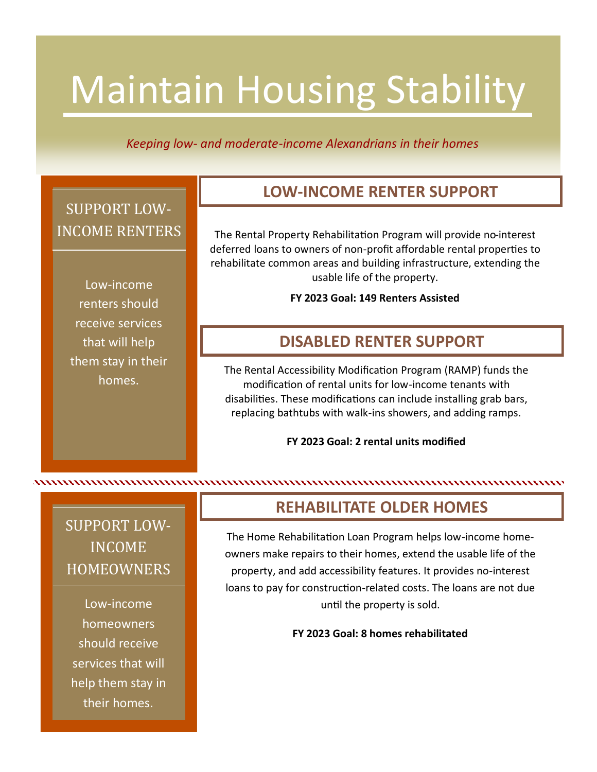# Maintain Housing Stability

*Keeping low- and moderate-income Alexandrians in their homes*

## SUPPORT LOW-INCOME RENTERS

Low-income renters should receive services that will help them stay in their homes.

## **LOW-INCOME RENTER SUPPORT**

The Rental Property Rehabilitation Program will provide no-interest deferred loans to owners of non-profit affordable rental properties to rehabilitate common areas and building infrastructure, extending the usable life of the property.

**FY 2023 Goal: 149 Renters Assisted**

### **DISABLED RENTER SUPPORT**

The Rental Accessibility Modification Program (RAMP) funds the modification of rental units for low-income tenants with disabilities. These modifications can include installing grab bars, replacing bathtubs with walk-ins showers, and adding ramps.

**FY 2023 Goal: 2 rental units modified**

## SUPPORT LOW-INCOME **HOMEOWNERS**

Low-income homeowners should receive services that will help them stay in their homes.

## **REHABILITATE OLDER HOMES**

The Home Rehabilitation Loan Program helps low-income homeowners make repairs to their homes, extend the usable life of the property, and add accessibility features. It provides no-interest loans to pay for construction-related costs. The loans are not due until the property is sold.

**FY 2023 Goal: 8 homes rehabilitated**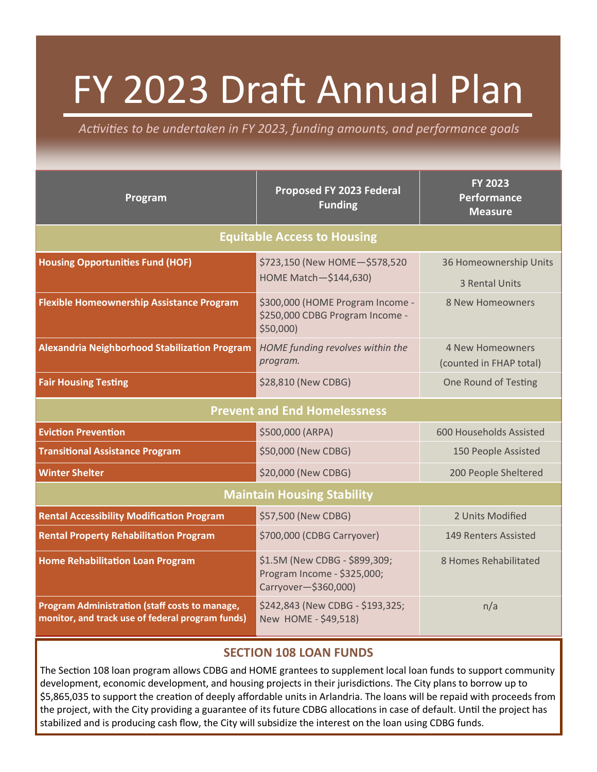# FY 2023 Draft Annual Plan

*Activities to be undertaken in FY 2023, funding amounts, and performance goals*

| Program                                                                                                   | Proposed FY 2023 Federal<br><b>Funding</b>                                           | <b>FY 2023</b><br><b>Performance</b><br><b>Measure</b> |
|-----------------------------------------------------------------------------------------------------------|--------------------------------------------------------------------------------------|--------------------------------------------------------|
| <b>Equitable Access to Housing</b>                                                                        |                                                                                      |                                                        |
| <b>Housing Opportunities Fund (HOF)</b>                                                                   | \$723,150 (New HOME-\$578,520<br>HOME Match-\$144,630)                               | 36 Homeownership Units<br><b>3 Rental Units</b>        |
| <b>Flexible Homeownership Assistance Program</b>                                                          | \$300,000 (HOME Program Income -<br>\$250,000 CDBG Program Income -<br>\$50,000)     | 8 New Homeowners                                       |
| <b>Alexandria Neighborhood Stabilization Program</b>                                                      | HOME funding revolves within the<br>program.                                         | <b>4 New Homeowners</b><br>(counted in FHAP total)     |
| <b>Fair Housing Testing</b>                                                                               | \$28,810 (New CDBG)                                                                  | One Round of Testing                                   |
| <b>Prevent and End Homelessness</b>                                                                       |                                                                                      |                                                        |
| <b>Eviction Prevention</b>                                                                                | \$500,000 (ARPA)                                                                     | 600 Households Assisted                                |
| <b>Transitional Assistance Program</b>                                                                    | \$50,000 (New CDBG)                                                                  | 150 People Assisted                                    |
| <b>Winter Shelter</b>                                                                                     | \$20,000 (New CDBG)                                                                  | 200 People Sheltered                                   |
| <b>Maintain Housing Stability</b>                                                                         |                                                                                      |                                                        |
| <b>Rental Accessibility Modification Program</b>                                                          | \$57,500 (New CDBG)                                                                  | 2 Units Modified                                       |
| <b>Rental Property Rehabilitation Program</b>                                                             | \$700,000 (CDBG Carryover)                                                           | 149 Renters Assisted                                   |
| <b>Home Rehabilitation Loan Program</b>                                                                   | \$1.5M (New CDBG - \$899,309;<br>Program Income - \$325,000;<br>Carryover-\$360,000) | 8 Homes Rehabilitated                                  |
| <b>Program Administration (staff costs to manage,</b><br>monitor, and track use of federal program funds) | \$242,843 (New CDBG - \$193,325;<br>New HOME - \$49,518)                             | n/a                                                    |

#### **SECTION 108 LOAN FUNDS**

The Section 108 loan program allows CDBG and HOME grantees to supplement local loan funds to support community development, economic development, and housing projects in their jurisdictions. The City plans to borrow up to \$5,865,035 to support the creation of deeply affordable units in Arlandria. The loans will be repaid with proceeds from the project, with the City providing a guarantee of its future CDBG allocations in case of default. Until the project has stabilized and is producing cash flow, the City will subsidize the interest on the loan using CDBG funds.